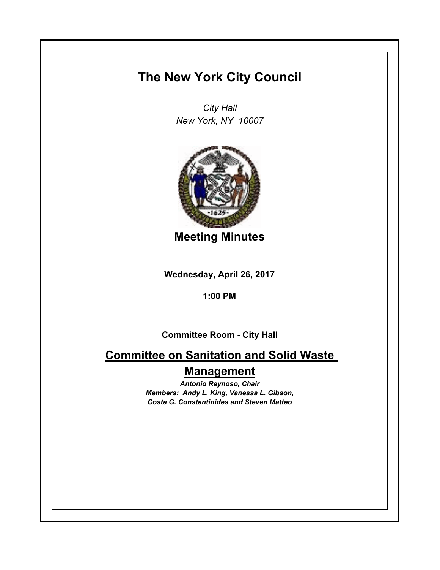## **The New York City Council**

*City Hall New York, NY 10007*



**Meeting Minutes**

**Wednesday, April 26, 2017**

**1:00 PM**

**Committee Room - City Hall**

**Committee on Sanitation and Solid Waste Management**

> *Antonio Reynoso, Chair Members: Andy L. King, Vanessa L. Gibson, Costa G. Constantinides and Steven Matteo*